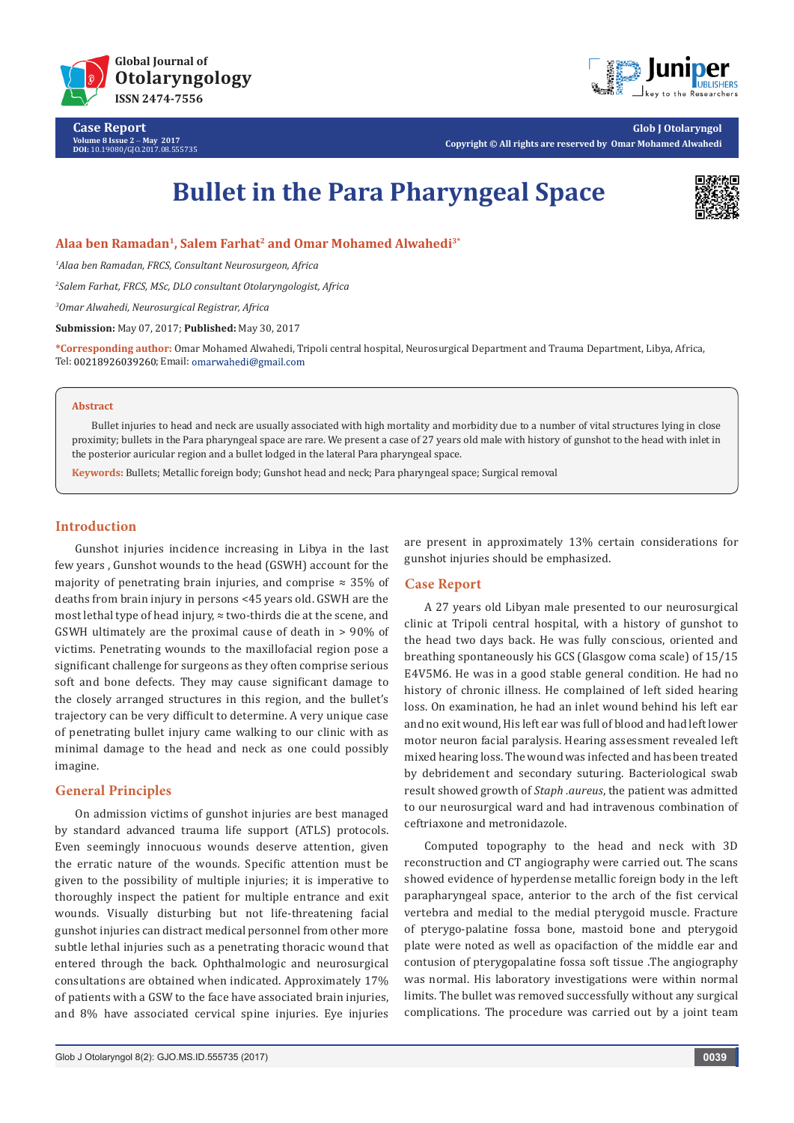

**Case Report Volume 8 Issue 2** - **May 2017 DOI:** [10.19080/GJO.2017.08.555735](http://dx.doi.org/10.19080/GJO.2017.08.555735
)



**Glob J Otolaryngol Copyright © All rights are reserved by Omar Mohamed Alwahedi**

# **Bullet in the Para Pharyngeal Space**



**Alaa ben Ramadan1, Salem Farhat2 and Omar Mohamed Alwahedi3\***

*1 Alaa ben Ramadan, FRCS, Consultant Neurosurgeon, Africa*

*2 Salem Farhat, FRCS, MSc, DLO consultant Otolaryngologist, Africa*

*3 Omar Alwahedi, Neurosurgical Registrar, Africa*

**Submission:** May 07, 2017; **Published:** May 30, 2017

**\*Corresponding author:** Omar Mohamed Alwahedi, Tripoli central hospital, Neurosurgical Department and Trauma Department, Libya, Africa, Tel: 00218926039260; Email: omarwahedi@gmail.com

#### **Abstract**

Bullet injuries to head and neck are usually associated with high mortality and morbidity due to a number of vital structures lying in close proximity; bullets in the Para pharyngeal space are rare. We present a case of 27 years old male with history of gunshot to the head with inlet in the posterior auricular region and a bullet lodged in the lateral Para pharyngeal space.

**Keywords:** Bullets; Metallic foreign body; Gunshot head and neck; Para pharyngeal space; Surgical removal

## **Introduction**

Gunshot injuries incidence increasing in Libya in the last few years , Gunshot wounds to the head (GSWH) account for the majority of penetrating brain injuries, and comprise  $\approx 35\%$  of deaths from brain injury in persons <45 years old. GSWH are the most lethal type of head injury, ≈ two-thirds die at the scene, and GSWH ultimately are the proximal cause of death in > 90% of victims. Penetrating wounds to the maxillofacial region pose a significant challenge for surgeons as they often comprise serious soft and bone defects. They may cause significant damage to the closely arranged structures in this region, and the bullet's trajectory can be very difficult to determine. A very unique case of penetrating bullet injury came walking to our clinic with as minimal damage to the head and neck as one could possibly imagine.

# **General Principles**

On admission victims of gunshot injuries are best managed by standard advanced trauma life support (ATLS) protocols. Even seemingly innocuous wounds deserve attention, given the erratic nature of the wounds. Specific attention must be given to the possibility of multiple injuries; it is imperative to thoroughly inspect the patient for multiple entrance and exit wounds. Visually disturbing but not life-threatening facial gunshot injuries can distract medical personnel from other more subtle lethal injuries such as a penetrating thoracic wound that entered through the back. Ophthalmologic and neurosurgical consultations are obtained when indicated. Approximately 17% of patients with a GSW to the face have associated brain injuries, and 8% have associated cervical spine injuries. Eye injuries

are present in approximately 13% certain considerations for gunshot injuries should be emphasized.

## **Case Report**

A 27 years old Libyan male presented to our neurosurgical clinic at Tripoli central hospital, with a history of gunshot to the head two days back. He was fully conscious, oriented and breathing spontaneously his GCS (Glasgow coma scale) of 15/15 E4V5M6. He was in a good stable general condition. He had no history of chronic illness. He complained of left sided hearing loss. On examination, he had an inlet wound behind his left ear and no exit wound, His left ear was full of blood and had left lower motor neuron facial paralysis. Hearing assessment revealed left mixed hearing loss. The wound was infected and has been treated by debridement and secondary suturing. Bacteriological swab result showed growth of *Staph .aureus*, the patient was admitted to our neurosurgical ward and had intravenous combination of ceftriaxone and metronidazole.

Computed topography to the head and neck with 3D reconstruction and CT angiography were carried out. The scans showed evidence of hyperdense metallic foreign body in the left parapharyngeal space, anterior to the arch of the fist cervical vertebra and medial to the medial pterygoid muscle. Fracture of pterygo-palatine fossa bone, mastoid bone and pterygoid plate were noted as well as opacifaction of the middle ear and contusion of pterygopalatine fossa soft tissue .The angiography was normal. His laboratory investigations were within normal limits. The bullet was removed successfully without any surgical complications. The procedure was carried out by a joint team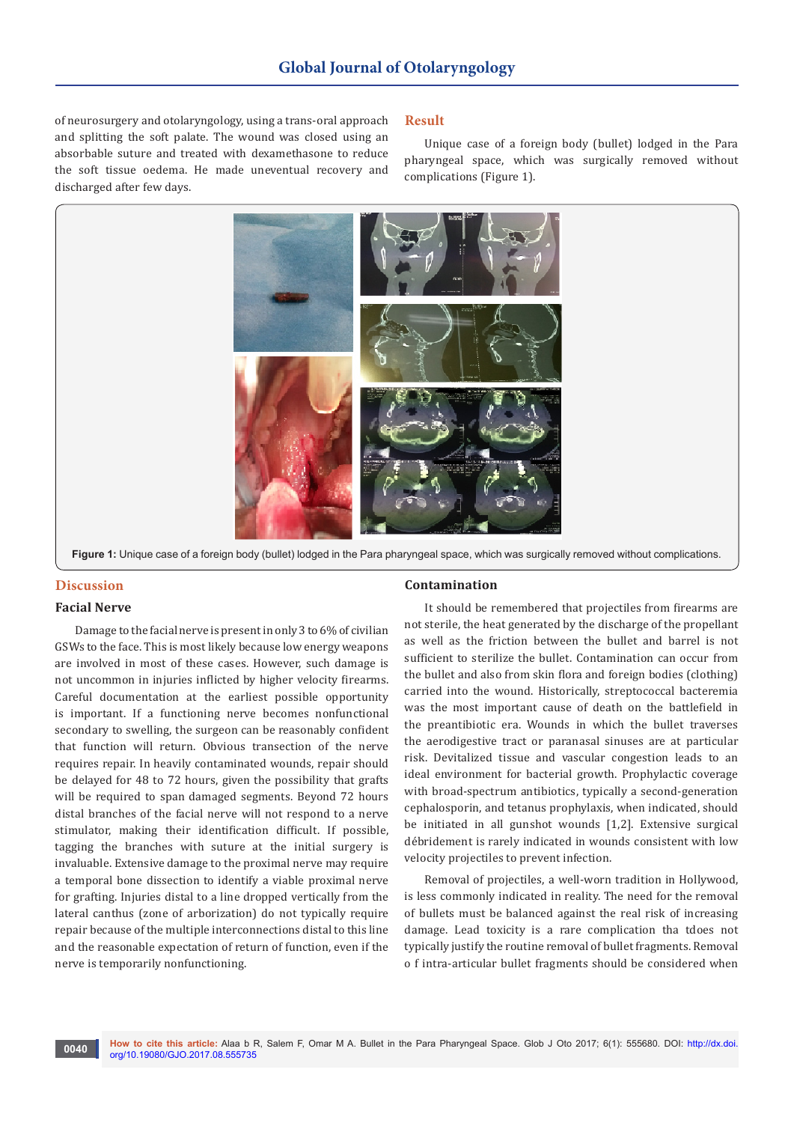of neurosurgery and otolaryngology, using a trans-oral approach and splitting the soft palate. The wound was closed using an absorbable suture and treated with dexamethasone to reduce the soft tissue oedema. He made uneventual recovery and discharged after few days.

#### **Result**

Unique case of a foreign body (bullet) lodged in the Para pharyngeal space, which was surgically removed without complications (Figure 1).



**Figure 1:** Unique case of a foreign body (bullet) lodged in the Para pharyngeal space, which was surgically removed without complications.

# **Discussion**

## **Facial Nerve**

Damage to the facial nerve is present in only 3 to 6% of civilian GSWs to the face. This is most likely because low energy weapons are involved in most of these cases. However, such damage is not uncommon in injuries inflicted by higher velocity firearms. Careful documentation at the earliest possible opportunity is important. If a functioning nerve becomes nonfunctional secondary to swelling, the surgeon can be reasonably confident that function will return. Obvious transection of the nerve requires repair. In heavily contaminated wounds, repair should be delayed for 48 to 72 hours, given the possibility that grafts will be required to span damaged segments. Beyond 72 hours distal branches of the facial nerve will not respond to a nerve stimulator, making their identification difficult. If possible, tagging the branches with suture at the initial surgery is invaluable. Extensive damage to the proximal nerve may require a temporal bone dissection to identify a viable proximal nerve for grafting. Injuries distal to a line dropped vertically from the lateral canthus (zone of arborization) do not typically require repair because of the multiple interconnections distal to this line and the reasonable expectation of return of function, even if the nerve is temporarily nonfunctioning.

## **Contamination**

It should be remembered that projectiles from firearms are not sterile, the heat generated by the discharge of the propellant as well as the friction between the bullet and barrel is not sufficient to sterilize the bullet. Contamination can occur from the bullet and also from skin flora and foreign bodies (clothing) carried into the wound. Historically, streptococcal bacteremia was the most important cause of death on the battlefield in the preantibiotic era. Wounds in which the bullet traverses the aerodigestive tract or paranasal sinuses are at particular risk. Devitalized tissue and vascular congestion leads to an ideal environment for bacterial growth. Prophylactic coverage with broad-spectrum antibiotics, typically a second-generation cephalosporin, and tetanus prophylaxis, when indicated, should be initiated in all gunshot wounds [1,2]. Extensive surgical débridement is rarely indicated in wounds consistent with low velocity projectiles to prevent infection.

Removal of projectiles, a well-worn tradition in Hollywood, is less commonly indicated in reality. The need for the removal of bullets must be balanced against the real risk of increasing damage. Lead toxicity is a rare complication tha tdoes not typically justify the routine removal of bullet fragments. Removal o f intra-articular bullet fragments should be considered when